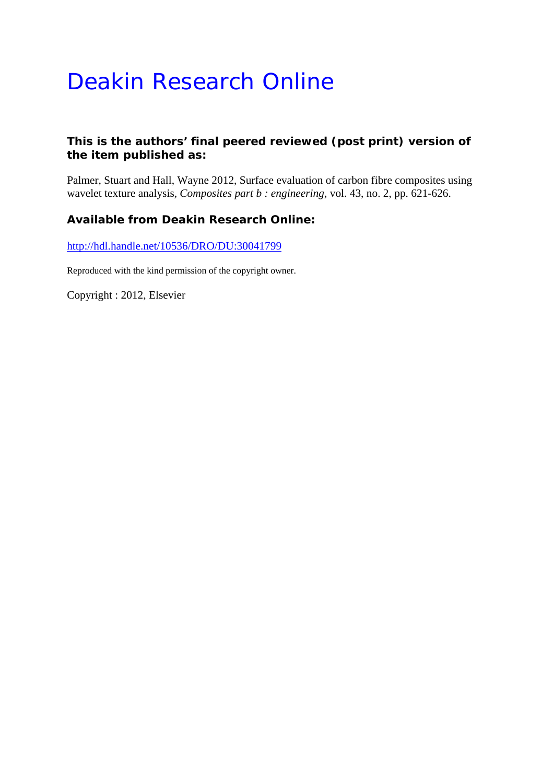# Deakin Research Online

# **This is the authors' final peered reviewed (post print) version of the item published as:**

Palmer, Stuart and Hall, Wayne 2012, Surface evaluation of carbon fibre composites using wavelet texture analysis*, Composites part b : engineering*, vol. 43, no. 2, pp. 621-626.

# **Available from Deakin Research Online:**

http://hdl.handle.net/10536/DRO/DU:30041799

Reproduced with the kind permission of the copyright owner.

Copyright : 2012, Elsevier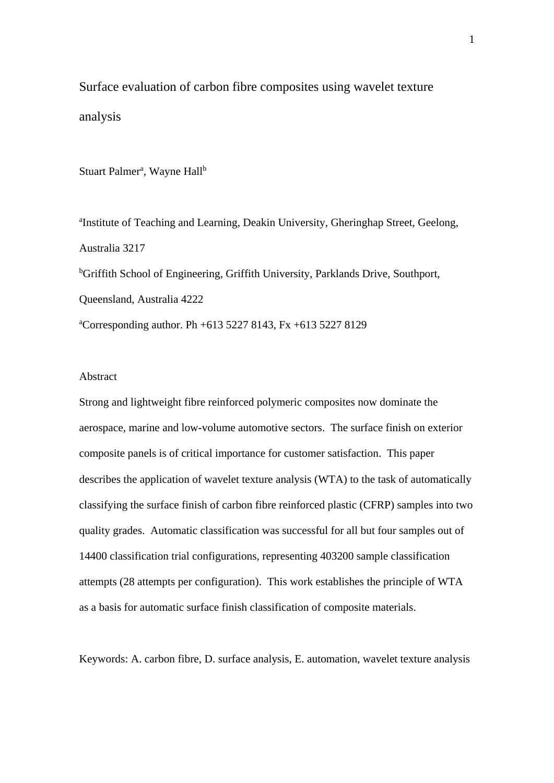Surface evaluation of carbon fibre composites using wavelet texture analysis

Stuart Palmer<sup>a</sup>, Wayne Hall<sup>b</sup>

<sup>a</sup>Institute of Teaching and Learning, Deakin University, Gheringhap Street, Geelong, Australia 3217 <sup>b</sup>Griffith School of Engineering, Griffith University, Parklands Drive, Southport, Queensland, Australia 4222 a Corresponding author. Ph +613 5227 8143, Fx +613 5227 8129

#### Abstract

Strong and lightweight fibre reinforced polymeric composites now dominate the aerospace, marine and low-volume automotive sectors. The surface finish on exterior composite panels is of critical importance for customer satisfaction. This paper describes the application of wavelet texture analysis (WTA) to the task of automatically classifying the surface finish of carbon fibre reinforced plastic (CFRP) samples into two quality grades. Automatic classification was successful for all but four samples out of 14400 classification trial configurations, representing 403200 sample classification attempts (28 attempts per configuration). This work establishes the principle of WTA as a basis for automatic surface finish classification of composite materials.

Keywords: A. carbon fibre, D. surface analysis, E. automation, wavelet texture analysis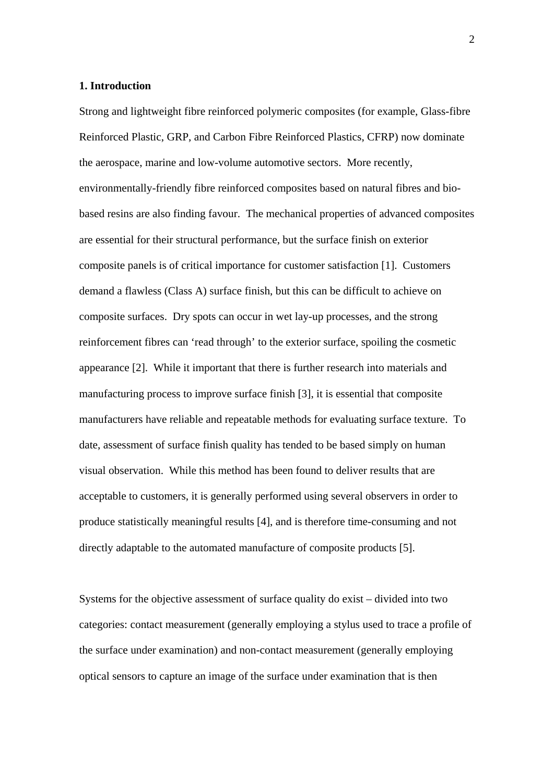#### **1. Introduction**

Strong and lightweight fibre reinforced polymeric composites (for example, Glass-fibre Reinforced Plastic, GRP, and Carbon Fibre Reinforced Plastics, CFRP) now dominate the aerospace, marine and low-volume automotive sectors. More recently, environmentally-friendly fibre reinforced composites based on natural fibres and biobased resins are also finding favour. The mechanical properties of advanced composites are essential for their structural performance, but the surface finish on exterior composite panels is of critical importance for customer satisfaction [1]. Customers demand a flawless (Class A) surface finish, but this can be difficult to achieve on composite surfaces. Dry spots can occur in wet lay-up processes, and the strong reinforcement fibres can 'read through' to the exterior surface, spoiling the cosmetic appearance [2]. While it important that there is further research into materials and manufacturing process to improve surface finish [3], it is essential that composite manufacturers have reliable and repeatable methods for evaluating surface texture. To date, assessment of surface finish quality has tended to be based simply on human visual observation. While this method has been found to deliver results that are acceptable to customers, it is generally performed using several observers in order to produce statistically meaningful results [4], and is therefore time-consuming and not directly adaptable to the automated manufacture of composite products [5].

Systems for the objective assessment of surface quality do exist – divided into two categories: contact measurement (generally employing a stylus used to trace a profile of the surface under examination) and non-contact measurement (generally employing optical sensors to capture an image of the surface under examination that is then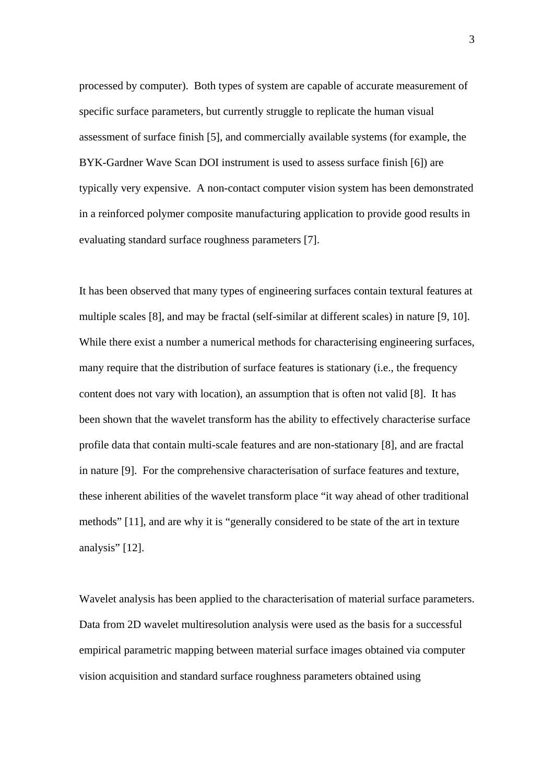processed by computer). Both types of system are capable of accurate measurement of specific surface parameters, but currently struggle to replicate the human visual assessment of surface finish [5], and commercially available systems (for example, the BYK-Gardner Wave Scan DOI instrument is used to assess surface finish [6]) are typically very expensive. A non-contact computer vision system has been demonstrated in a reinforced polymer composite manufacturing application to provide good results in evaluating standard surface roughness parameters [7].

It has been observed that many types of engineering surfaces contain textural features at multiple scales [8], and may be fractal (self-similar at different scales) in nature [9, 10]. While there exist a number a numerical methods for characterising engineering surfaces, many require that the distribution of surface features is stationary (i.e., the frequency content does not vary with location), an assumption that is often not valid [8]. It has been shown that the wavelet transform has the ability to effectively characterise surface profile data that contain multi-scale features and are non-stationary [8], and are fractal in nature [9]. For the comprehensive characterisation of surface features and texture, these inherent abilities of the wavelet transform place "it way ahead of other traditional methods" [11], and are why it is "generally considered to be state of the art in texture analysis" [12].

Wavelet analysis has been applied to the characterisation of material surface parameters. Data from 2D wavelet multiresolution analysis were used as the basis for a successful empirical parametric mapping between material surface images obtained via computer vision acquisition and standard surface roughness parameters obtained using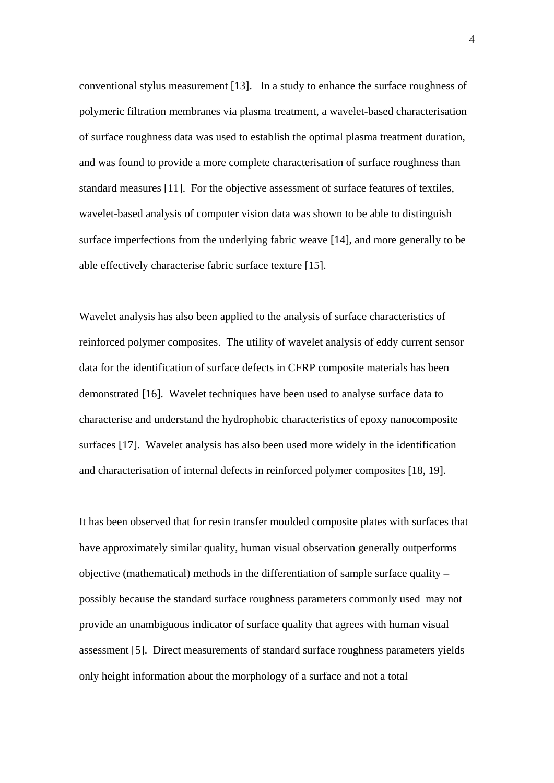conventional stylus measurement [13]. In a study to enhance the surface roughness of polymeric filtration membranes via plasma treatment, a wavelet-based characterisation of surface roughness data was used to establish the optimal plasma treatment duration, and was found to provide a more complete characterisation of surface roughness than standard measures [11]. For the objective assessment of surface features of textiles, wavelet-based analysis of computer vision data was shown to be able to distinguish surface imperfections from the underlying fabric weave [14], and more generally to be able effectively characterise fabric surface texture [15].

Wavelet analysis has also been applied to the analysis of surface characteristics of reinforced polymer composites. The utility of wavelet analysis of eddy current sensor data for the identification of surface defects in CFRP composite materials has been demonstrated [16]. Wavelet techniques have been used to analyse surface data to characterise and understand the hydrophobic characteristics of epoxy nanocomposite surfaces [17]. Wavelet analysis has also been used more widely in the identification and characterisation of internal defects in reinforced polymer composites [18, 19].

It has been observed that for resin transfer moulded composite plates with surfaces that have approximately similar quality, human visual observation generally outperforms objective (mathematical) methods in the differentiation of sample surface quality – possibly because the standard surface roughness parameters commonly used may not provide an unambiguous indicator of surface quality that agrees with human visual assessment [5]. Direct measurements of standard surface roughness parameters yields only height information about the morphology of a surface and not a total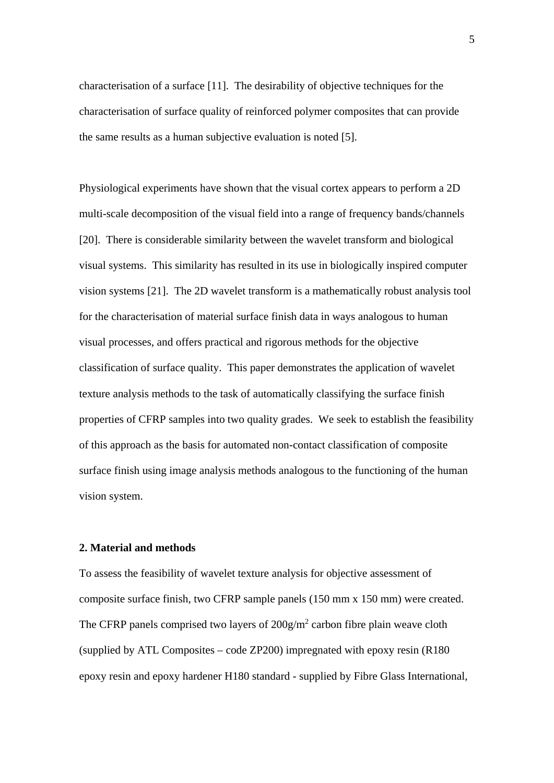characterisation of a surface [11]. The desirability of objective techniques for the characterisation of surface quality of reinforced polymer composites that can provide the same results as a human subjective evaluation is noted [5].

Physiological experiments have shown that the visual cortex appears to perform a 2D multi-scale decomposition of the visual field into a range of frequency bands/channels [20]. There is considerable similarity between the wavelet transform and biological visual systems. This similarity has resulted in its use in biologically inspired computer vision systems [21]. The 2D wavelet transform is a mathematically robust analysis tool for the characterisation of material surface finish data in ways analogous to human visual processes, and offers practical and rigorous methods for the objective classification of surface quality. This paper demonstrates the application of wavelet texture analysis methods to the task of automatically classifying the surface finish properties of CFRP samples into two quality grades. We seek to establish the feasibility of this approach as the basis for automated non-contact classification of composite surface finish using image analysis methods analogous to the functioning of the human vision system.

## **2. Material and methods**

To assess the feasibility of wavelet texture analysis for objective assessment of composite surface finish, two CFRP sample panels (150 mm x 150 mm) were created. The CFRP panels comprised two layers of  $200g/m^2$  carbon fibre plain weave cloth (supplied by ATL Composites – code ZP200) impregnated with epoxy resin (R180 epoxy resin and epoxy hardener H180 standard - supplied by Fibre Glass International,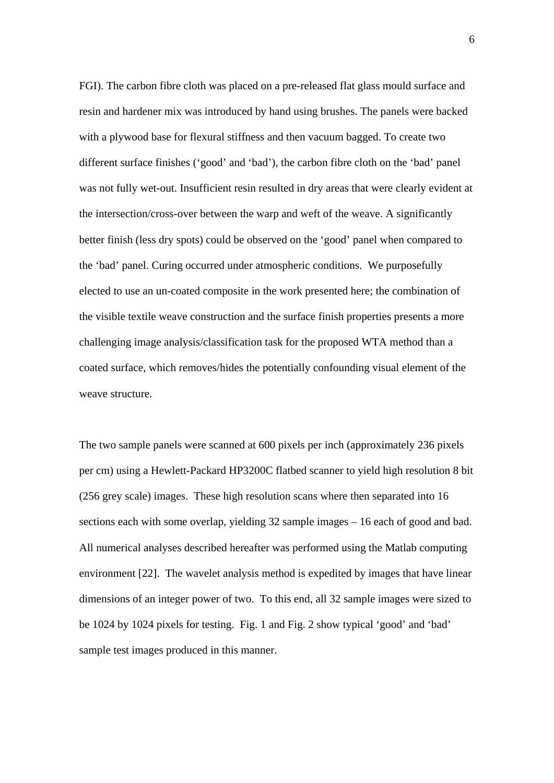FGI). The carbon fibre cloth was placed on a pre-released flat glass mould surface and resin and hardener mix was introduced by hand using brushes. The panels were backed with a plywood base for flexural stiffness and then vacuum bagged. To create two different surface finishes ('good' and 'bad'), the carbon fibre cloth on the 'bad' panel was not fully wet-out. Insufficient resin resulted in dry areas that were clearly evident at the intersection/cross-over between the warp and weft of the weave. A significantly better finish (less dry spots) could be observed on the 'good' panel when compared to the 'bad' panel. Curing occurred under atmospheric conditions. We purposefully elected to use an un-coated composite in the work presented here; the combination of the visible textile weave construction and the surface finish properties presents a more challenging image analysis/classification task for the proposed WTA method than a coated surface, which removes/hides the potentially confounding visual element of the weave structure.

The two sample panels were scanned at 600 pixels per inch (approximately 236 pixels per cm) using a Hewlett-Packard HP3200C flatbed scanner to yield high resolution 8 bit (256 grey scale) images. These high resolution scans where then separated into 16 sections each with some overlap, yielding 32 sample images – 16 each of good and bad. All numerical analyses described hereafter was performed using the Matlab computing environment [22]. The wavelet analysis method is expedited by images that have linear dimensions of an integer power of two. To this end, all 32 sample images were sized to be 1024 by 1024 pixels for testing. Fig. 1 and Fig. 2 show typical 'good' and 'bad' sample test images produced in this manner.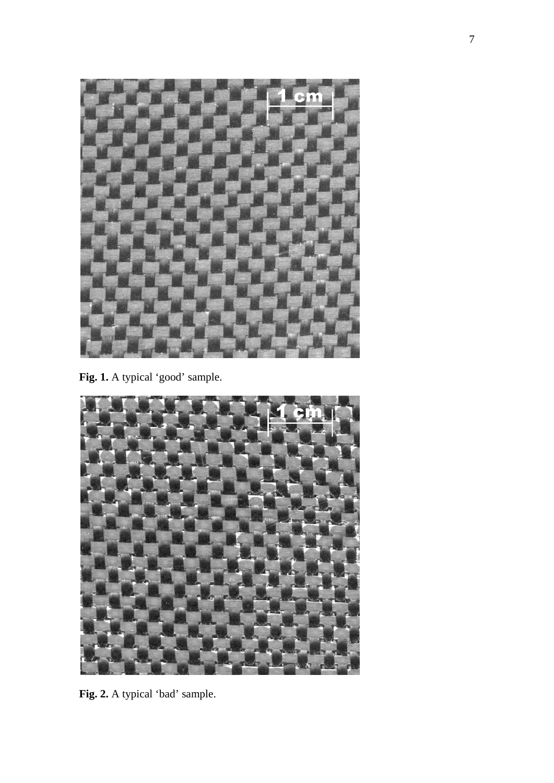

Fig. 1. A typical 'good' sample.



**Fig. 2.** A typical 'bad' sample.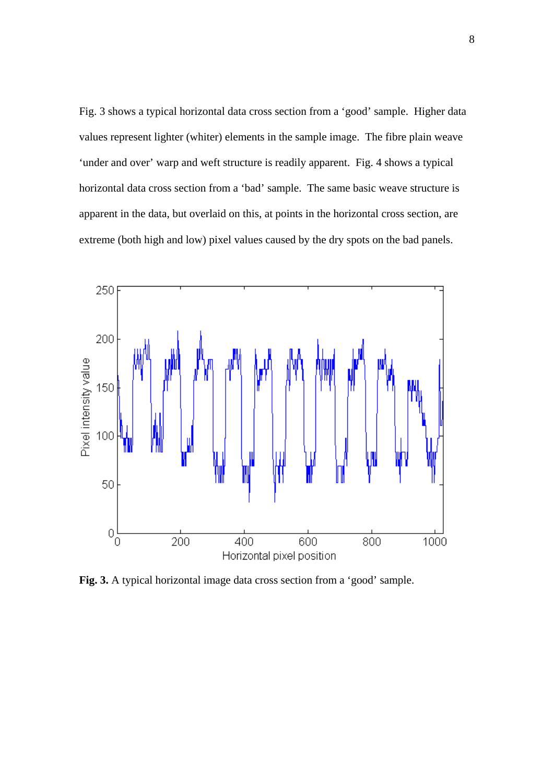Fig. 3 shows a typical horizontal data cross section from a 'good' sample. Higher data values represent lighter (whiter) elements in the sample image. The fibre plain weave 'under and over' warp and weft structure is readily apparent. Fig. 4 shows a typical horizontal data cross section from a 'bad' sample. The same basic weave structure is apparent in the data, but overlaid on this, at points in the horizontal cross section, are extreme (both high and low) pixel values caused by the dry spots on the bad panels.



**Fig. 3.** A typical horizontal image data cross section from a 'good' sample.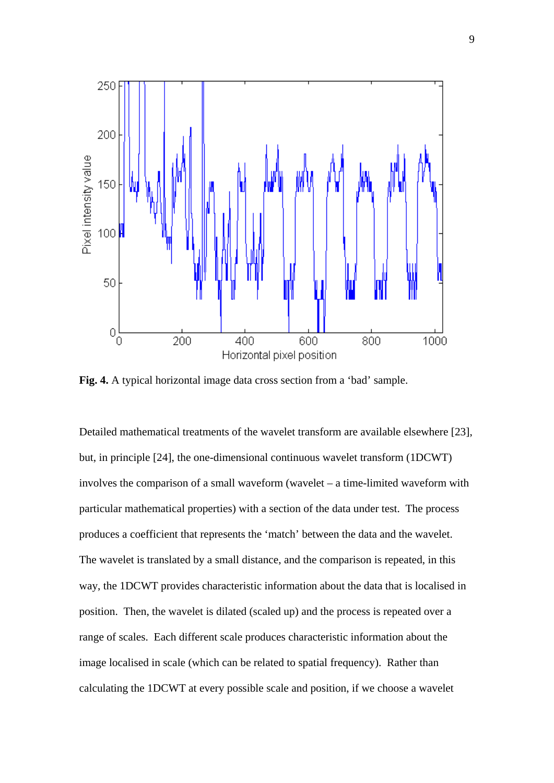

**Fig. 4.** A typical horizontal image data cross section from a 'bad' sample.

Detailed mathematical treatments of the wavelet transform are available elsewhere [23], but, in principle [24], the one-dimensional continuous wavelet transform (1DCWT) involves the comparison of a small waveform (wavelet – a time-limited waveform with particular mathematical properties) with a section of the data under test. The process produces a coefficient that represents the 'match' between the data and the wavelet. The wavelet is translated by a small distance, and the comparison is repeated, in this way, the 1DCWT provides characteristic information about the data that is localised in position. Then, the wavelet is dilated (scaled up) and the process is repeated over a range of scales. Each different scale produces characteristic information about the image localised in scale (which can be related to spatial frequency). Rather than calculating the 1DCWT at every possible scale and position, if we choose a wavelet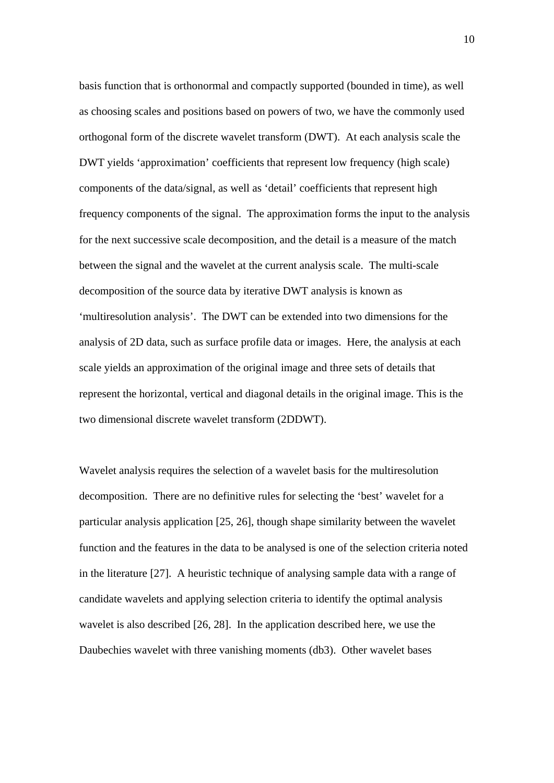basis function that is orthonormal and compactly supported (bounded in time), as well as choosing scales and positions based on powers of two, we have the commonly used orthogonal form of the discrete wavelet transform (DWT). At each analysis scale the DWT yields 'approximation' coefficients that represent low frequency (high scale) components of the data/signal, as well as 'detail' coefficients that represent high frequency components of the signal. The approximation forms the input to the analysis for the next successive scale decomposition, and the detail is a measure of the match between the signal and the wavelet at the current analysis scale. The multi-scale decomposition of the source data by iterative DWT analysis is known as 'multiresolution analysis'. The DWT can be extended into two dimensions for the analysis of 2D data, such as surface profile data or images. Here, the analysis at each scale yields an approximation of the original image and three sets of details that represent the horizontal, vertical and diagonal details in the original image. This is the two dimensional discrete wavelet transform (2DDWT).

Wavelet analysis requires the selection of a wavelet basis for the multiresolution decomposition. There are no definitive rules for selecting the 'best' wavelet for a particular analysis application [25, 26], though shape similarity between the wavelet function and the features in the data to be analysed is one of the selection criteria noted in the literature [27]. A heuristic technique of analysing sample data with a range of candidate wavelets and applying selection criteria to identify the optimal analysis wavelet is also described [26, 28]. In the application described here, we use the Daubechies wavelet with three vanishing moments (db3). Other wavelet bases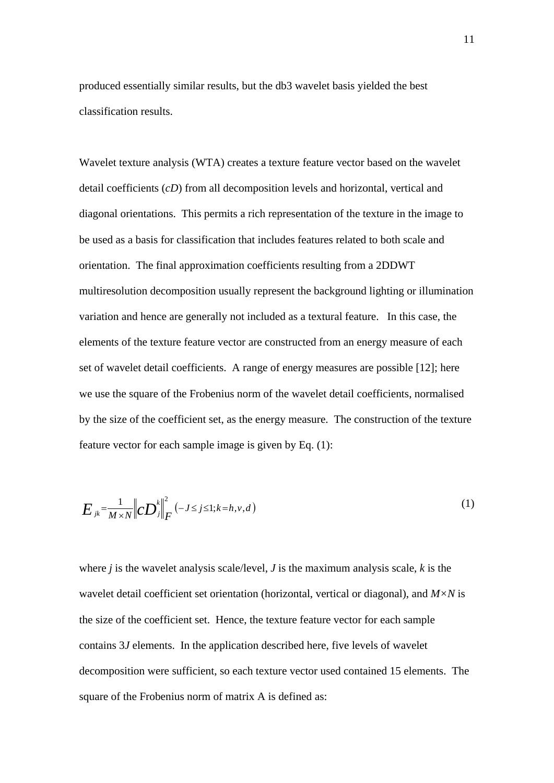produced essentially similar results, but the db3 wavelet basis yielded the best classification results.

Wavelet texture analysis (WTA) creates a texture feature vector based on the wavelet detail coefficients (*cD*) from all decomposition levels and horizontal, vertical and diagonal orientations. This permits a rich representation of the texture in the image to be used as a basis for classification that includes features related to both scale and orientation. The final approximation coefficients resulting from a 2DDWT multiresolution decomposition usually represent the background lighting or illumination variation and hence are generally not included as a textural feature. In this case, the elements of the texture feature vector are constructed from an energy measure of each set of wavelet detail coefficients. A range of energy measures are possible [12]; here we use the square of the Frobenius norm of the wavelet detail coefficients, normalised by the size of the coefficient set, as the energy measure. The construction of the texture feature vector for each sample image is given by Eq. (1):

$$
E_{jk} = \frac{1}{M \times N} \left\| c \mathbf{D}_j^k \right\|_F^2 \left( -J \le j \le 1; k = h, v, d \right) \tag{1}
$$

where *j* is the wavelet analysis scale/level, *J* is the maximum analysis scale, *k* is the wavelet detail coefficient set orientation (horizontal, vertical or diagonal), and *M×N* is the size of the coefficient set. Hence, the texture feature vector for each sample contains 3*J* elements. In the application described here, five levels of wavelet decomposition were sufficient, so each texture vector used contained 15 elements. The square of the Frobenius norm of matrix A is defined as: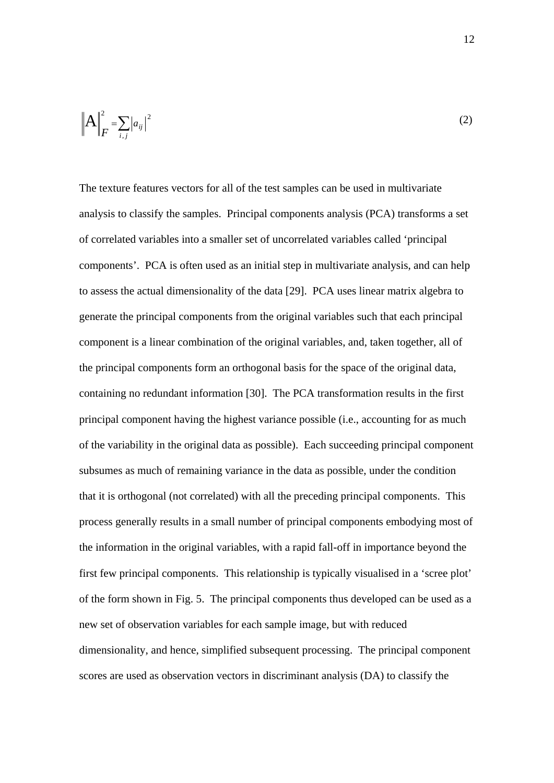$$
\left\| \mathbf{A} \right\|_F^2 = \sum_{i,j} \left| a_{ij} \right|^2 \tag{2}
$$

The texture features vectors for all of the test samples can be used in multivariate analysis to classify the samples. Principal components analysis (PCA) transforms a set of correlated variables into a smaller set of uncorrelated variables called 'principal components'. PCA is often used as an initial step in multivariate analysis, and can help to assess the actual dimensionality of the data [29]. PCA uses linear matrix algebra to generate the principal components from the original variables such that each principal component is a linear combination of the original variables, and, taken together, all of the principal components form an orthogonal basis for the space of the original data, containing no redundant information [30]. The PCA transformation results in the first principal component having the highest variance possible (i.e., accounting for as much of the variability in the original data as possible). Each succeeding principal component subsumes as much of remaining variance in the data as possible, under the condition that it is orthogonal (not correlated) with all the preceding principal components. This process generally results in a small number of principal components embodying most of the information in the original variables, with a rapid fall-off in importance beyond the first few principal components. This relationship is typically visualised in a 'scree plot' of the form shown in Fig. 5. The principal components thus developed can be used as a new set of observation variables for each sample image, but with reduced dimensionality, and hence, simplified subsequent processing. The principal component scores are used as observation vectors in discriminant analysis (DA) to classify the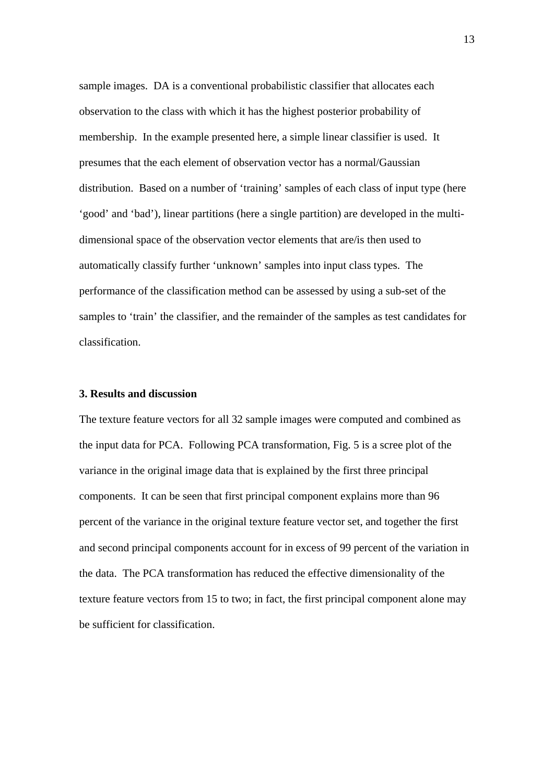sample images. DA is a conventional probabilistic classifier that allocates each observation to the class with which it has the highest posterior probability of membership. In the example presented here, a simple linear classifier is used. It presumes that the each element of observation vector has a normal/Gaussian distribution. Based on a number of 'training' samples of each class of input type (here 'good' and 'bad'), linear partitions (here a single partition) are developed in the multidimensional space of the observation vector elements that are/is then used to automatically classify further 'unknown' samples into input class types. The performance of the classification method can be assessed by using a sub-set of the samples to 'train' the classifier, and the remainder of the samples as test candidates for classification.

## **3. Results and discussion**

The texture feature vectors for all 32 sample images were computed and combined as the input data for PCA. Following PCA transformation, Fig. 5 is a scree plot of the variance in the original image data that is explained by the first three principal components. It can be seen that first principal component explains more than 96 percent of the variance in the original texture feature vector set, and together the first and second principal components account for in excess of 99 percent of the variation in the data. The PCA transformation has reduced the effective dimensionality of the texture feature vectors from 15 to two; in fact, the first principal component alone may be sufficient for classification.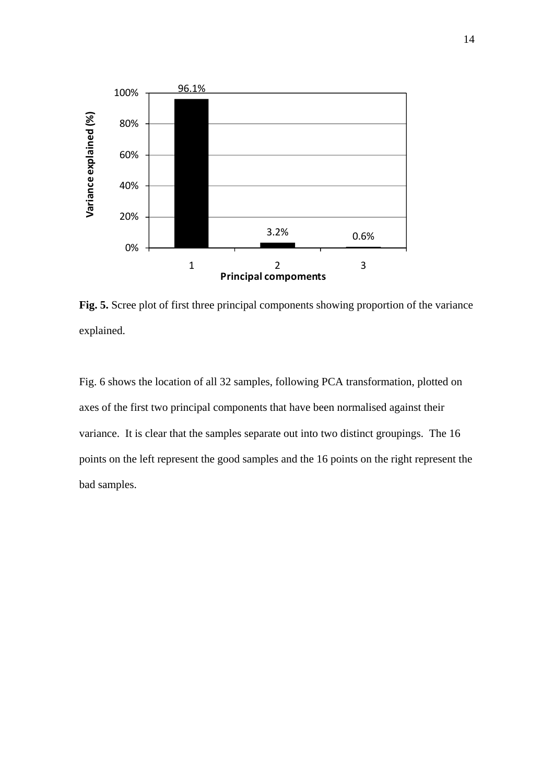

**Fig. 5.** Scree plot of first three principal components showing proportion of the variance explained.

Fig. 6 shows the location of all 32 samples, following PCA transformation, plotted on axes of the first two principal components that have been normalised against their variance. It is clear that the samples separate out into two distinct groupings. The 16 points on the left represent the good samples and the 16 points on the right represent the bad samples.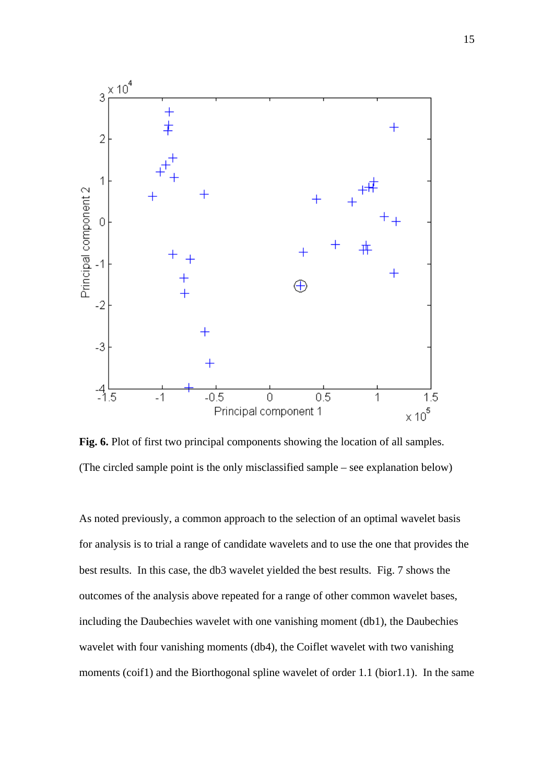

**Fig. 6.** Plot of first two principal components showing the location of all samples. (The circled sample point is the only misclassified sample – see explanation below)

As noted previously, a common approach to the selection of an optimal wavelet basis for analysis is to trial a range of candidate wavelets and to use the one that provides the best results. In this case, the db3 wavelet yielded the best results. Fig. 7 shows the outcomes of the analysis above repeated for a range of other common wavelet bases, including the Daubechies wavelet with one vanishing moment (db1), the Daubechies wavelet with four vanishing moments (db4), the Coiflet wavelet with two vanishing moments (coif1) and the Biorthogonal spline wavelet of order 1.1 (bior1.1). In the same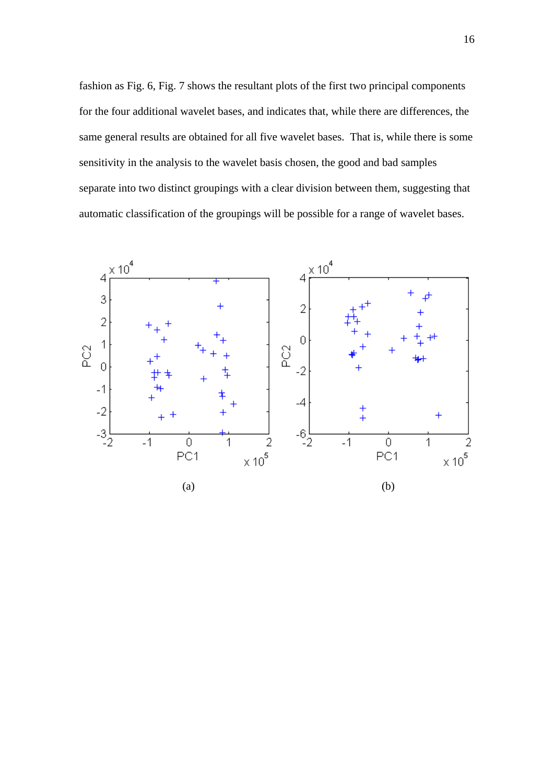fashion as Fig. 6, Fig. 7 shows the resultant plots of the first two principal components for the four additional wavelet bases, and indicates that, while there are differences, the same general results are obtained for all five wavelet bases. That is, while there is some sensitivity in the analysis to the wavelet basis chosen, the good and bad samples separate into two distinct groupings with a clear division between them, suggesting that automatic classification of the groupings will be possible for a range of wavelet bases.

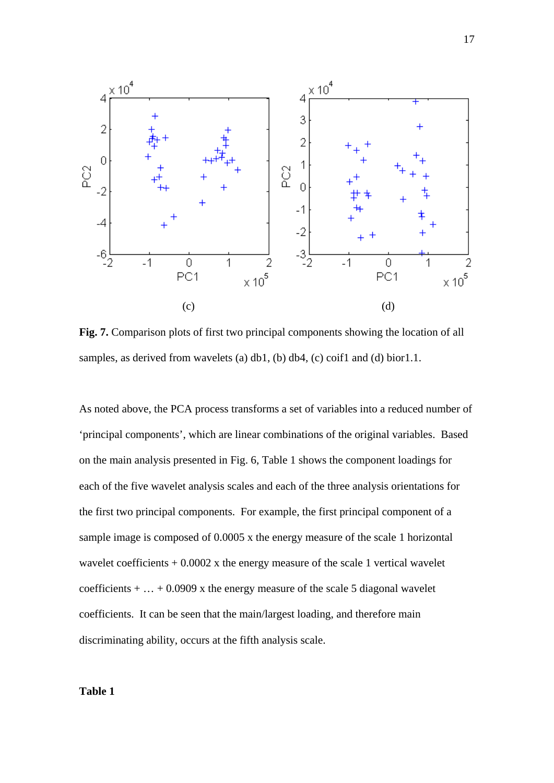

**Fig. 7.** Comparison plots of first two principal components showing the location of all samples, as derived from wavelets (a) db1, (b) db4, (c) coif1 and (d) bior1.1.

As noted above, the PCA process transforms a set of variables into a reduced number of 'principal components', which are linear combinations of the original variables. Based on the main analysis presented in Fig. 6, Table 1 shows the component loadings for each of the five wavelet analysis scales and each of the three analysis orientations for the first two principal components. For example, the first principal component of a sample image is composed of 0.0005 x the energy measure of the scale 1 horizontal wavelet coefficients  $+ 0.0002$  x the energy measure of the scale 1 vertical wavelet coefficients  $+ \dots + 0.0909$  x the energy measure of the scale 5 diagonal wavelet coefficients. It can be seen that the main/largest loading, and therefore main discriminating ability, occurs at the fifth analysis scale.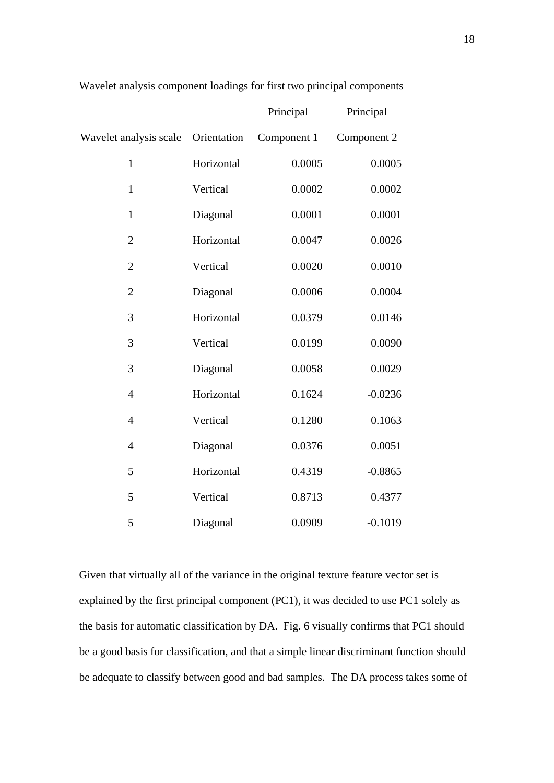|                        |             | Principal   | Principal   |
|------------------------|-------------|-------------|-------------|
| Wavelet analysis scale | Orientation | Component 1 | Component 2 |
| $\mathbf{1}$           | Horizontal  | 0.0005      | 0.0005      |
| $\mathbf{1}$           | Vertical    | 0.0002      | 0.0002      |
| $\mathbf{1}$           | Diagonal    | 0.0001      | 0.0001      |
| $\overline{2}$         | Horizontal  | 0.0047      | 0.0026      |
| $\overline{2}$         | Vertical    | 0.0020      | 0.0010      |
| $\overline{2}$         | Diagonal    | 0.0006      | 0.0004      |
| 3                      | Horizontal  | 0.0379      | 0.0146      |
| 3                      | Vertical    | 0.0199      | 0.0090      |
| 3                      | Diagonal    | 0.0058      | 0.0029      |
| $\overline{4}$         | Horizontal  | 0.1624      | $-0.0236$   |
| $\overline{4}$         | Vertical    | 0.1280      | 0.1063      |
| $\overline{4}$         | Diagonal    | 0.0376      | 0.0051      |
| 5                      | Horizontal  | 0.4319      | $-0.8865$   |
| 5                      | Vertical    | 0.8713      | 0.4377      |
| 5                      | Diagonal    | 0.0909      | $-0.1019$   |
|                        |             |             |             |

Wavelet analysis component loadings for first two principal components

Given that virtually all of the variance in the original texture feature vector set is explained by the first principal component (PC1), it was decided to use PC1 solely as the basis for automatic classification by DA. Fig. 6 visually confirms that PC1 should be a good basis for classification, and that a simple linear discriminant function should be adequate to classify between good and bad samples. The DA process takes some of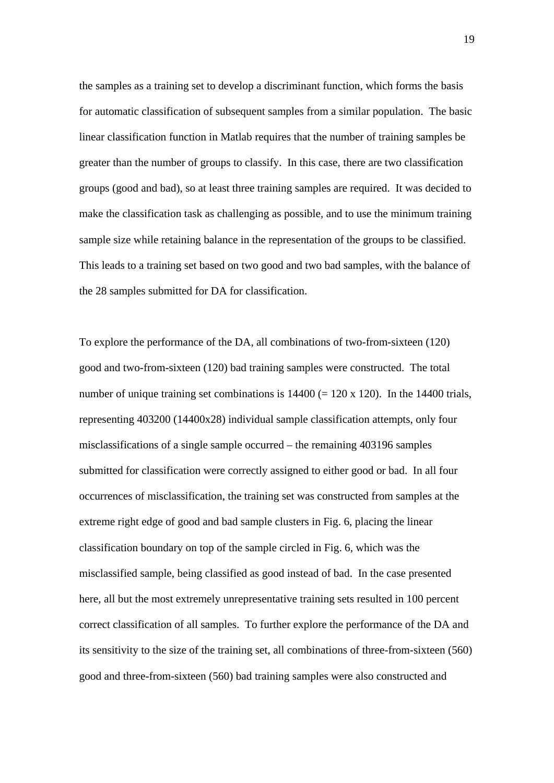the samples as a training set to develop a discriminant function, which forms the basis for automatic classification of subsequent samples from a similar population. The basic linear classification function in Matlab requires that the number of training samples be greater than the number of groups to classify. In this case, there are two classification groups (good and bad), so at least three training samples are required. It was decided to make the classification task as challenging as possible, and to use the minimum training sample size while retaining balance in the representation of the groups to be classified. This leads to a training set based on two good and two bad samples, with the balance of the 28 samples submitted for DA for classification.

To explore the performance of the DA, all combinations of two-from-sixteen (120) good and two-from-sixteen (120) bad training samples were constructed. The total number of unique training set combinations is  $14400 (= 120 \times 120)$ . In the 14400 trials, representing 403200 (14400x28) individual sample classification attempts, only four misclassifications of a single sample occurred – the remaining 403196 samples submitted for classification were correctly assigned to either good or bad. In all four occurrences of misclassification, the training set was constructed from samples at the extreme right edge of good and bad sample clusters in Fig. 6, placing the linear classification boundary on top of the sample circled in Fig. 6, which was the misclassified sample, being classified as good instead of bad. In the case presented here, all but the most extremely unrepresentative training sets resulted in 100 percent correct classification of all samples. To further explore the performance of the DA and its sensitivity to the size of the training set, all combinations of three-from-sixteen (560) good and three-from-sixteen (560) bad training samples were also constructed and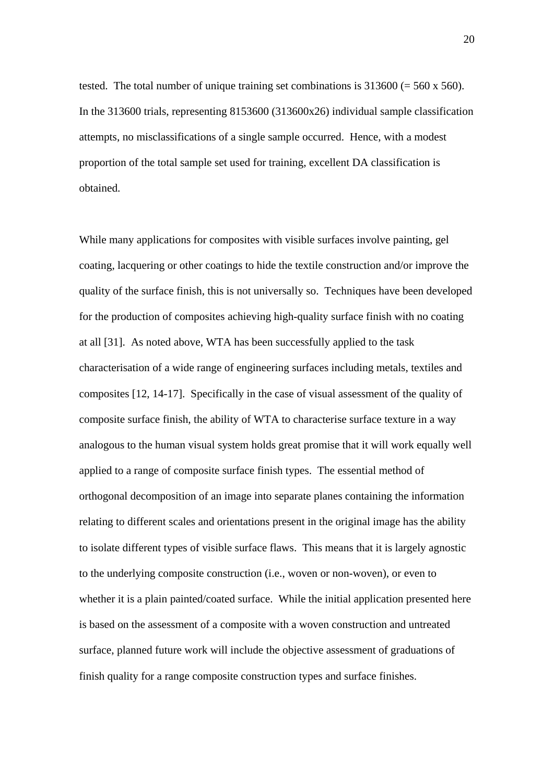tested. The total number of unique training set combinations is  $313600 (= 560 \times 560)$ . In the 313600 trials, representing 8153600 (313600x26) individual sample classification attempts, no misclassifications of a single sample occurred. Hence, with a modest proportion of the total sample set used for training, excellent DA classification is obtained.

While many applications for composites with visible surfaces involve painting, gel coating, lacquering or other coatings to hide the textile construction and/or improve the quality of the surface finish, this is not universally so. Techniques have been developed for the production of composites achieving high-quality surface finish with no coating at all [31]. As noted above, WTA has been successfully applied to the task characterisation of a wide range of engineering surfaces including metals, textiles and composites [12, 14-17]. Specifically in the case of visual assessment of the quality of composite surface finish, the ability of WTA to characterise surface texture in a way analogous to the human visual system holds great promise that it will work equally well applied to a range of composite surface finish types. The essential method of orthogonal decomposition of an image into separate planes containing the information relating to different scales and orientations present in the original image has the ability to isolate different types of visible surface flaws. This means that it is largely agnostic to the underlying composite construction (i.e., woven or non-woven), or even to whether it is a plain painted/coated surface. While the initial application presented here is based on the assessment of a composite with a woven construction and untreated surface, planned future work will include the objective assessment of graduations of finish quality for a range composite construction types and surface finishes.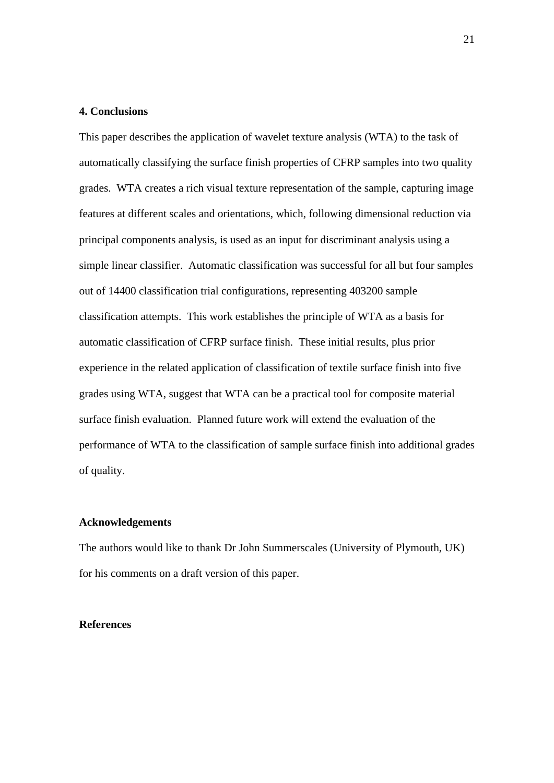## **4. Conclusions**

This paper describes the application of wavelet texture analysis (WTA) to the task of automatically classifying the surface finish properties of CFRP samples into two quality grades. WTA creates a rich visual texture representation of the sample, capturing image features at different scales and orientations, which, following dimensional reduction via principal components analysis, is used as an input for discriminant analysis using a simple linear classifier. Automatic classification was successful for all but four samples out of 14400 classification trial configurations, representing 403200 sample classification attempts. This work establishes the principle of WTA as a basis for automatic classification of CFRP surface finish. These initial results, plus prior experience in the related application of classification of textile surface finish into five grades using WTA, suggest that WTA can be a practical tool for composite material surface finish evaluation. Planned future work will extend the evaluation of the performance of WTA to the classification of sample surface finish into additional grades of quality.

#### **Acknowledgements**

The authors would like to thank Dr John Summerscales (University of Plymouth, UK) for his comments on a draft version of this paper.

#### **References**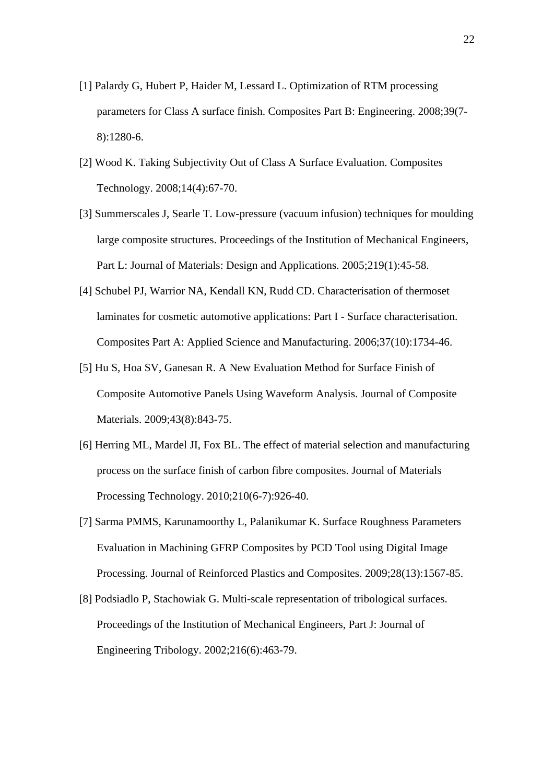- [1] Palardy G, Hubert P, Haider M, Lessard L. Optimization of RTM processing parameters for Class A surface finish. Composites Part B: Engineering. 2008;39(7- 8):1280-6.
- [2] Wood K. Taking Subjectivity Out of Class A Surface Evaluation. Composites Technology. 2008;14(4):67-70.
- [3] Summerscales J, Searle T. Low-pressure (vacuum infusion) techniques for moulding large composite structures. Proceedings of the Institution of Mechanical Engineers, Part L: Journal of Materials: Design and Applications. 2005;219(1):45-58.
- [4] Schubel PJ, Warrior NA, Kendall KN, Rudd CD. Characterisation of thermoset laminates for cosmetic automotive applications: Part I - Surface characterisation. Composites Part A: Applied Science and Manufacturing. 2006;37(10):1734-46.
- [5] Hu S, Hoa SV, Ganesan R. A New Evaluation Method for Surface Finish of Composite Automotive Panels Using Waveform Analysis. Journal of Composite Materials. 2009;43(8):843-75.
- [6] Herring ML, Mardel JI, Fox BL. The effect of material selection and manufacturing process on the surface finish of carbon fibre composites. Journal of Materials Processing Technology. 2010;210(6-7):926-40.
- [7] Sarma PMMS, Karunamoorthy L, Palanikumar K. Surface Roughness Parameters Evaluation in Machining GFRP Composites by PCD Tool using Digital Image Processing. Journal of Reinforced Plastics and Composites. 2009;28(13):1567-85.
- [8] Podsiadlo P, Stachowiak G. Multi-scale representation of tribological surfaces. Proceedings of the Institution of Mechanical Engineers, Part J: Journal of Engineering Tribology. 2002;216(6):463-79.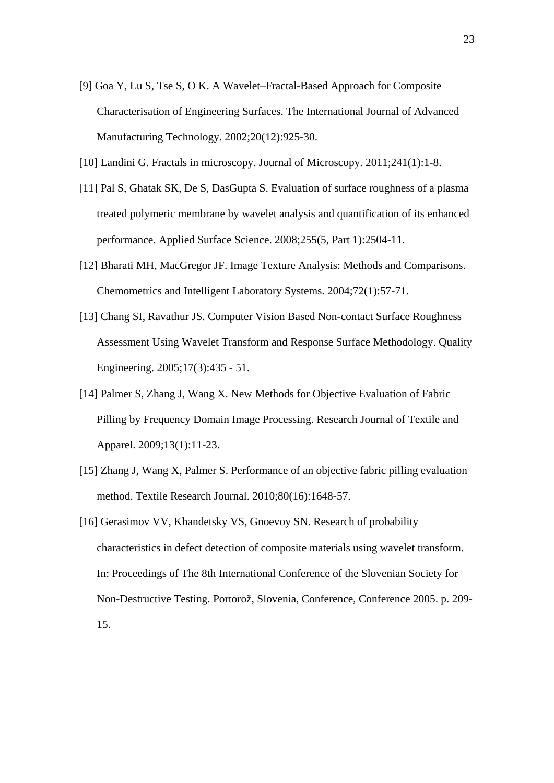- [9] Goa Y, Lu S, Tse S, O K. A Wavelet–Fractal-Based Approach for Composite Characterisation of Engineering Surfaces. The International Journal of Advanced Manufacturing Technology. 2002;20(12):925-30.
- [10] Landini G. Fractals in microscopy. Journal of Microscopy. 2011;241(1):1-8.
- [11] Pal S, Ghatak SK, De S, DasGupta S. Evaluation of surface roughness of a plasma treated polymeric membrane by wavelet analysis and quantification of its enhanced performance. Applied Surface Science. 2008;255(5, Part 1):2504-11.
- [12] Bharati MH, MacGregor JF. Image Texture Analysis: Methods and Comparisons. Chemometrics and Intelligent Laboratory Systems. 2004;72(1):57-71.
- [13] Chang SI, Ravathur JS. Computer Vision Based Non-contact Surface Roughness Assessment Using Wavelet Transform and Response Surface Methodology. Quality Engineering. 2005;17(3):435 - 51.
- [14] Palmer S, Zhang J, Wang X. New Methods for Objective Evaluation of Fabric Pilling by Frequency Domain Image Processing. Research Journal of Textile and Apparel. 2009;13(1):11-23.
- [15] Zhang J, Wang X, Palmer S. Performance of an objective fabric pilling evaluation method. Textile Research Journal. 2010;80(16):1648-57.
- [16] Gerasimov VV, Khandetsky VS, Gnoevoy SN. Research of probability characteristics in defect detection of composite materials using wavelet transform. In: Proceedings of The 8th International Conference of the Slovenian Society for Non-Destructive Testing. Portorož, Slovenia, Conference, Conference 2005. p. 209- 15.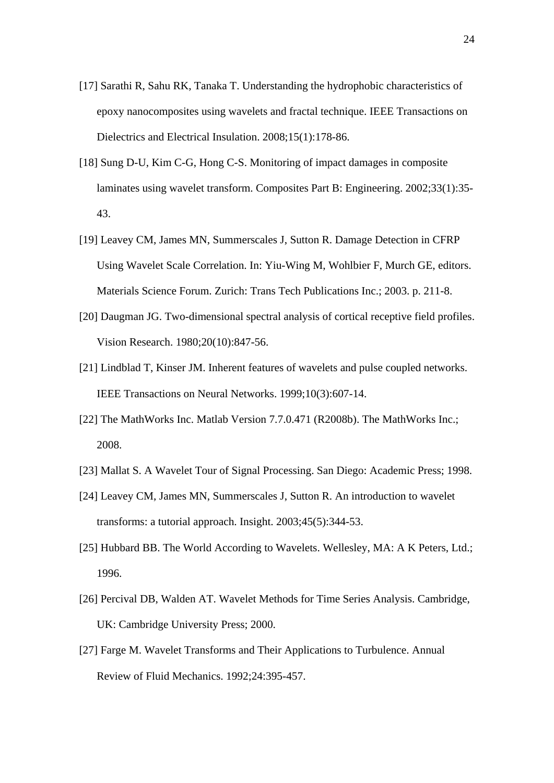- [17] Sarathi R, Sahu RK, Tanaka T. Understanding the hydrophobic characteristics of epoxy nanocomposites using wavelets and fractal technique. IEEE Transactions on Dielectrics and Electrical Insulation. 2008;15(1):178-86.
- [18] Sung D-U, Kim C-G, Hong C-S. Monitoring of impact damages in composite laminates using wavelet transform. Composites Part B: Engineering. 2002;33(1):35- 43.
- [19] Leavey CM, James MN, Summerscales J, Sutton R. Damage Detection in CFRP Using Wavelet Scale Correlation. In: Yiu-Wing M, Wohlbier F, Murch GE, editors. Materials Science Forum. Zurich: Trans Tech Publications Inc.; 2003. p. 211-8.
- [20] Daugman JG. Two-dimensional spectral analysis of cortical receptive field profiles. Vision Research. 1980;20(10):847-56.
- [21] Lindblad T, Kinser JM. Inherent features of wavelets and pulse coupled networks. IEEE Transactions on Neural Networks. 1999;10(3):607-14.
- [22] The MathWorks Inc. Matlab Version 7.7.0.471 (R2008b). The MathWorks Inc.; 2008.
- [23] Mallat S. A Wavelet Tour of Signal Processing. San Diego: Academic Press; 1998.
- [24] Leavey CM, James MN, Summerscales J, Sutton R. An introduction to wavelet transforms: a tutorial approach. Insight. 2003;45(5):344-53.
- [25] Hubbard BB. The World According to Wavelets. Wellesley, MA: A K Peters, Ltd.; 1996.
- [26] Percival DB, Walden AT. Wavelet Methods for Time Series Analysis. Cambridge, UK: Cambridge University Press; 2000.
- [27] Farge M. Wavelet Transforms and Their Applications to Turbulence. Annual Review of Fluid Mechanics. 1992;24:395-457.